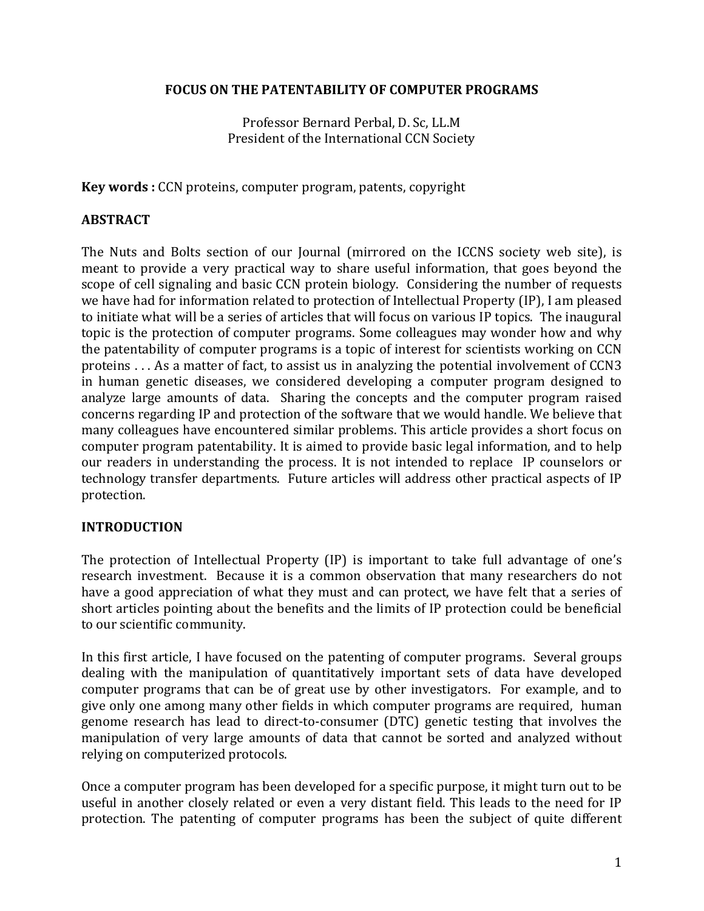#### FOCUS ON THE PATENTABILITY OF COMPUTER PROGRAMS

Professor Bernard Perbal, D. Sc, LL.M. President of the International CCN Society

**Key words** : CCN proteins, computer program, patents, copyright

# **ABSTRACT&**

The Nuts and Bolts section of our Journal (mirrored on the ICCNS society web site), is meant to provide a very practical way to share useful information, that goes beyond the scope of cell signaling and basic CCN protein biology. Considering the number of requests we have had for information related to protection of Intellectual Property (IP), I am pleased to initiate what will be a series of articles that will focus on various IP topics. The inaugural topic is the protection of computer programs. Some colleagues may wonder how and why the patentability of computer programs is a topic of interest for scientists working on CCN proteins . . . As a matter of fact, to assist us in analyzing the potential involvement of CCN3 in human genetic diseases, we considered developing a computer program designed to analyze large amounts of data. Sharing the concepts and the computer program raised concerns regarding IP and protection of the software that we would handle. We believe that many colleagues have encountered similar problems. This article provides a short focus on computer program patentability. It is aimed to provide basic legal information, and to help our readers in understanding the process. It is not intended to replace IP counselors or technology transfer departments. Future articles will address other practical aspects of IP protection.

# **INTRODUCTION**

The protection of Intellectual Property (IP) is important to take full advantage of one's research investment. Because it is a common observation that many researchers do not have a good appreciation of what they must and can protect, we have felt that a series of short articles pointing about the benefits and the limits of IP protection could be beneficial to our scientific community.

In this first article, I have focused on the patenting of computer programs. Several groups dealing with the manipulation of quantitatively important sets of data have developed computer programs that can be of great use by other investigators. For example, and to give only one among many other fields in which computer programs are required, human genome research has lead to direct-to-consumer (DTC) genetic testing that involves the manipulation of very large amounts of data that cannot be sorted and analyzed without relying on computerized protocols.

Once a computer program has been developed for a specific purpose, it might turn out to be useful in another closely related or even a very distant field. This leads to the need for IP protection. The patenting of computer programs has been the subject of quite different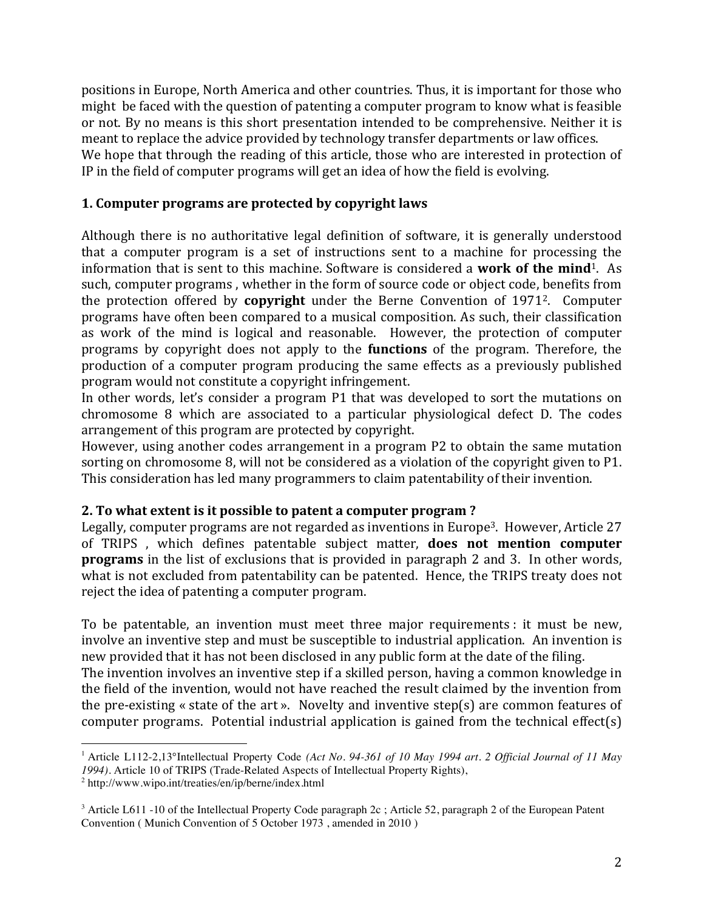positions in Europe, North America and other countries. Thus, it is important for those who might be faced with the question of patenting a computer program to know what is feasible or not. By no means is this short presentation intended to be comprehensive. Neither it is meant to replace the advice provided by technology transfer departments or law offices. We hope that through the reading of this article, those who are interested in protection of IP in the field of computer programs will get an idea of how the field is evolving.

# **1. Computer programs are protected by copyright laws**

Although there is no authoritative legal definition of software, it is generally understood that a computer program is a set of instructions sent to a machine for processing the information that is sent to this machine. Software is considered a **work of the mind**<sup>1</sup>. As such, computer programs, whether in the form of source code or object code, benefits from the protection offered by **copyright** under the Berne Convention of 1971<sup>2</sup>. Computer programs have often been compared to a musical composition. As such, their classification as work of the mind is logical and reasonable. However, the protection of computer programs by copyright does not apply to the **functions** of the program. Therefore, the production of a computer program producing the same effects as a previously published program would not constitute a copyright infringement.

In other words, let's consider a program P1 that was developed to sort the mutations on chromosome 8 which are associated to a particular physiological defect D. The codes arrangement of this program are protected by copyright.

However, using another codes arrangement in a program P2 to obtain the same mutation sorting on chromosome 8, will not be considered as a violation of the copyright given to P1. This consideration has led many programmers to claim patentability of their invention.

### **2.** To what extent is it possible to patent a computer program?

Legally, computer programs are not regarded as inventions in Europe<sup>3</sup>. However, Article 27 of TRIPS, which defines patentable subject matter, **does not mention computer programs** in the list of exclusions that is provided in paragraph 2 and 3. In other words, what is not excluded from patentability can be patented. Hence, the TRIPS treaty does not reject the idea of patenting a computer program.

To be patentable, an invention must meet three major requirements : it must be new, involve an inventive step and must be susceptible to industrial application. An invention is new provided that it has not been disclosed in any public form at the date of the filing. The invention involves an inventive step if a skilled person, having a common knowledge in the field of the invention, would not have reached the result claimed by the invention from the pre-existing « state of the art ». Novelty and inventive step(s) are common features of computer programs. Potential industrial application is gained from the technical effect(s)

!!!!!!!!!!!!!!!!!!!!!!!!!!!!!!!!!!!!!!!!!!!!!!!!!!!!!!!

<sup>1</sup> Article L112-2,13°Intellectual Property Code *(Act No. 94-361 of 10 May 1994 art. 2 Official Journal of 11 May 1994*). Article 10 of TRIPS (Trade-Related Aspects of Intellectual Property Rights), <sup>2</sup> http://www.wipo.int/treaties/en/ip/berne/index.html

<sup>&</sup>lt;sup>3</sup> Article L611 -10 of the Intellectual Property Code paragraph 2c ; Article 52, paragraph 2 of the European Patent Convention ( Munich Convention of 5 October 1973 , amended in 2010 )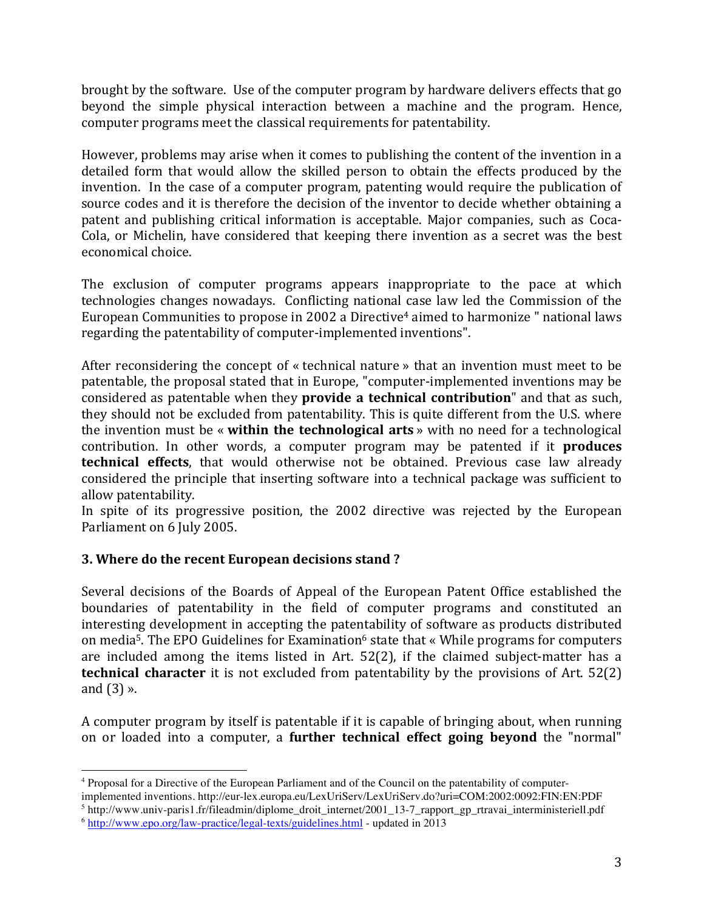brought by the software. Use of the computer program by hardware delivers effects that go beyond the simple physical interaction between a machine and the program. Hence, computer programs meet the classical requirements for patentability.

However, problems may arise when it comes to publishing the content of the invention in a detailed form that would allow the skilled person to obtain the effects produced by the invention. In the case of a computer program, patenting would require the publication of source codes and it is therefore the decision of the inventor to decide whether obtaining a patent and publishing critical information is acceptable. Major companies, such as Coca-Cola, or Michelin, have considered that keeping there invention as a secret was the best economical choice.

The exclusion of computer programs appears inappropriate to the pace at which technologies changes nowadays. Conflicting national case law led the Commission of the European Communities to propose in 2002 a Directive<sup>4</sup> aimed to harmonize " national laws regarding the patentability of computer-implemented inventions".

After reconsidering the concept of « technical nature » that an invention must meet to be patentable, the proposal stated that in Europe, "computer-implemented inventions may be considered as patentable when they **provide a technical contribution**" and that as such, they should not be excluded from patentability. This is quite different from the U.S. where the invention must be « **within the technological arts** » with no need for a technological contribution. In other words, a computer program may be patented if it **produces technical effects**, that would otherwise not be obtained. Previous case law already considered the principle that inserting software into a technical package was sufficient to allow patentability.

In spite of its progressive position, the 2002 directive was rejected by the European Parliament on 6 July 2005.

# **3.&Where&do&the recent&European&decisions&stand ?**

Several decisions of the Boards of Appeal of the European Patent Office established the boundaries of patentability in the field of computer programs and constituted an interesting development in accepting the patentability of software as products distributed on media<sup>5</sup>. The EPO Guidelines for Examination<sup>6</sup> state that « While programs for computers are included among the items listed in Art.  $52(2)$ , if the claimed subject-matter has a **technical character** it is not excluded from patentability by the provisions of Art. 52(2) and  $(3)$  ».

A computer program by itself is patentable if it is capable of bringing about, when running on or loaded into a computer, a **further technical effect going beyond** the "normal"

<sup>!!!!!!!!!!!!!!!!!!!!!!!!!!!!!!!!!!!!!!!!!!!!!!!!!!!!!!!</sup> <sup>4</sup> Proposal for a Directive of the European Parliament and of the Council on the patentability of computer-

implemented inventions. http://eur-lex.europa.eu/LexUriServ/LexUriServ.do?uri=COM:2002:0092:FIN:EN:PDF <sup>5</sup> http://www.univ-paris1.fr/fileadmin/diplome\_droit\_internet/2001\_13-7\_rapport\_gp\_rtravai\_interministeriell.pdf

<sup>6</sup> http://www.epo.org/law-practice/legal-texts/guidelines.html - updated in 2013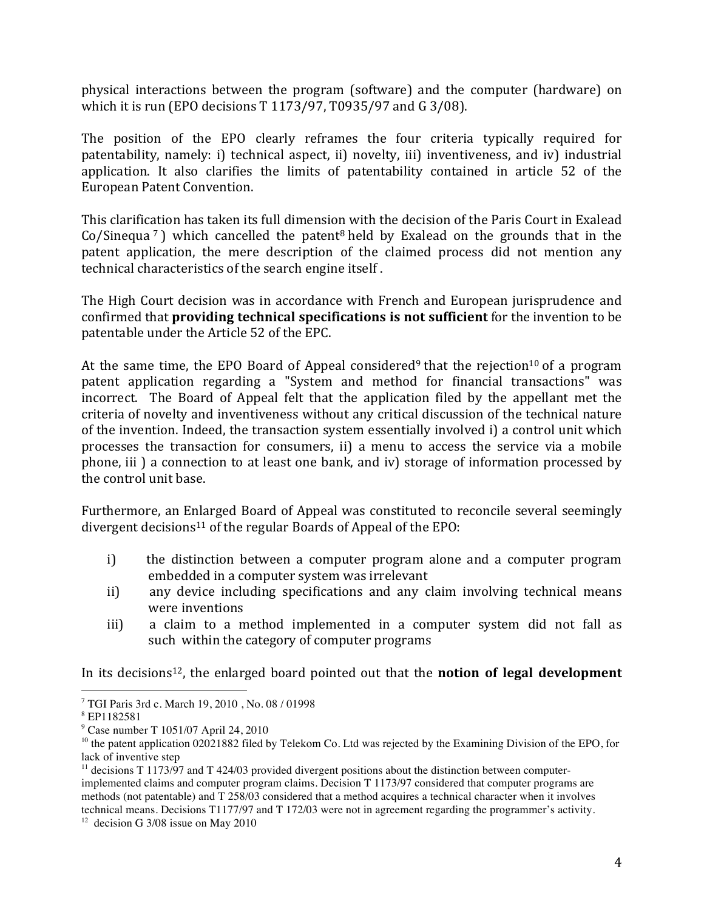physical interactions between the program (software) and the computer (hardware) on which it is run (EPO decisions T 1173/97, T0935/97 and G 3/08).

The position of the EPO clearly reframes the four criteria typically required for patentability, namely: i) technical aspect, ii) novelty, iii) inventiveness, and iv) industrial application. It also clarifies the limits of patentability contained in article 52 of the European Patent Convention.

This clarification has taken its full dimension with the decision of the Paris Court in Exalead  $Co/Sinequa$ <sup>7</sup>) which cancelled the patent<sup>8</sup> held by Exalead on the grounds that in the patent application, the mere description of the claimed process did not mention any technical characteristics of the search engine itself.

The High Court decision was in accordance with French and European jurisprudence and confirmed that providing technical specifications is not sufficient for the invention to be patentable under the Article 52 of the EPC.

At the same time, the EPO Board of Appeal considered<sup>9</sup> that the rejection<sup>10</sup> of a program patent application regarding a "System and method for financial transactions" was incorrect. The Board of Appeal felt that the application filed by the appellant met the criteria of novelty and inventiveness without any critical discussion of the technical nature of the invention. Indeed, the transaction system essentially involved i) a control unit which processes the transaction for consumers, ii) a menu to access the service via a mobile phone, iii) a connection to at least one bank, and iv) storage of information processed by the control unit base.

Furthermore, an Enlarged Board of Appeal was constituted to reconcile several seemingly divergent decisions<sup>11</sup> of the regular Boards of Appeal of the EPO:

- the distinction between a computer program alone and a computer program  $i$ ) embedded in a computer system was irrelevant
- any device including specifications and any claim involving technical means  $\mathbf{ii}$ were inventions
- a claim to a method implemented in a computer system did not fall as iii) such within the category of computer programs

In its decisions<sup>12</sup>, the enlarged board pointed out that the **notion of legal development** 

<sup>&</sup>lt;sup>7</sup> TGI Paris 3rd c. March 19, 2010, No. 08 / 01998

<sup>&</sup>lt;sup>8</sup> EP1182581

 $\degree$  Case number T 1051/07 April 24, 2010

 $^{10}$  the patent application 02021882 filed by Telekom Co. Ltd was rejected by the Examining Division of the EPO, for lack of inventive step

 $<sup>11</sup>$  decisions T 1173/97 and T 424/03 provided divergent positions about the distinction between computer-</sup> implemented claims and computer program claims. Decision T 1173/97 considered that computer programs are methods (not patentable) and T 258/03 considered that a method acquires a technical character when it involves technical means. Decisions T1177/97 and T 172/03 were not in agreement regarding the programmer's activity.

 $12$  decision G 3/08 issue on May 2010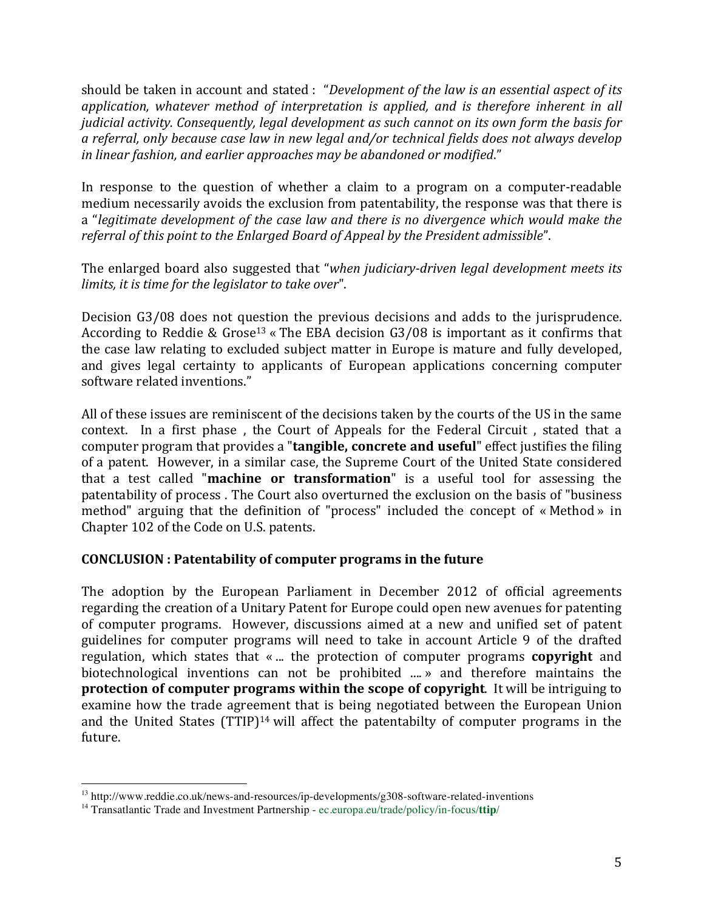should!be!taken!in!account!and!stated :! "*Development of the law is an essential aspect of its application, whatever method of interpretation is applied, and is therefore inherent in all judicial activity. Consequently, legal development as such cannot on its own form the basis for a referral, only because case law in new legal and/or technical fields does not always develop in linear fashion, and earlier approaches may be abandoned or modified*."

In response to the question of whether a claim to a program on a computer-readable medium necessarily avoids the exclusion from patentability, the response was that there is a! "*legitimate development of the case law and there is no divergence which would make the referral of this point to the Enlarged Board of Appeal by the President admissible*".

The enlarged board also suggested that "*when judiciary-driven legal development meets its limits, it is time for the legislator to take over*".

Decision G3/08 does not question the previous decisions and adds to the jurisprudence. According to Reddie & Grose<sup>13</sup> « The EBA decision  $G3/08$  is important as it confirms that the case law relating to excluded subject matter in Europe is mature and fully developed, and gives legal certainty to applicants of European applications concerning computer software related inventions."

All of these issues are reminiscent of the decisions taken by the courts of the US in the same context. In a first phase, the Court of Appeals for the Federal Circuit, stated that a computer program that provides a "**tangible, concrete and useful**" effect justifies the filing of a patent. However, in a similar case, the Supreme Court of the United State considered that a test called "**machine or transformation**" is a useful tool for assessing the patentability of process. The Court also overturned the exclusion on the basis of "business" method" arguing that the definition of "process" included the concept of « Method » in Chapter 102 of the Code on U.S. patents.

# **CONCLUSION** : Patentability of computer programs in the future

The adoption by the European Parliament in December 2012 of official agreements regarding the creation of a Unitary Patent for Europe could open new avenues for patenting of computer programs. However, discussions aimed at a new and unified set of patent guidelines for computer programs will need to take in account Article 9 of the drafted regulation, which states that « ... the protection of computer programs **copyright** and biotechnological inventions can not be prohibited .... » and therefore maintains the **protection of computer programs within the scope of copyright**. It will be intriguing to examine how the trade agreement that is being negotiated between the European Union and the United States  $(TTIP)^{14}$  will affect the patentabilty of computer programs in the future.

!!!!!!!!!!!!!!!!!!!!!!!!!!!!!!!!!!!!!!!!!!!!!!!!!!!!!!!

<sup>&</sup>lt;sup>13</sup> http://www.reddie.co.uk/news-and-resources/ip-developments/g308-software-related-inventions

<sup>14</sup> Transatlantic Trade and Investment Partnership - ec.europa.eu/trade/policy/in-focus/**ttip**/